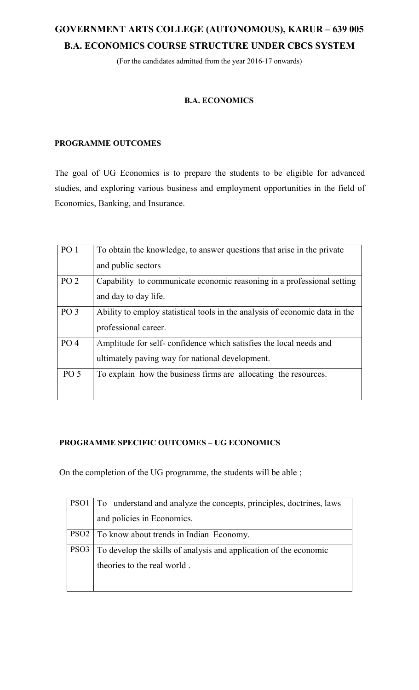# **GOVERNMENT ARTS COLLEGE (AUTONOMOUS), KARUR – 639 005 B.A. ECONOMICS COURSE STRUCTURE UNDER CBCS SYSTEM**

(For the candidates admitted from the year 2016-17 onwards)

### **B.A. ECONOMICS**

### **PROGRAMME OUTCOMES**

The goal of UG Economics is to prepare the students to be eligible for advanced studies, and exploring various business and employment opportunities in the field of Economics, Banking, and Insurance.

| PO <sub>1</sub> | To obtain the knowledge, to answer questions that arise in the private      |
|-----------------|-----------------------------------------------------------------------------|
|                 | and public sectors                                                          |
| PO <sub>2</sub> | Capability to communicate economic reasoning in a professional setting      |
|                 | and day to day life.                                                        |
| PO <sub>3</sub> | Ability to employ statistical tools in the analysis of economic data in the |
|                 | professional career.                                                        |
| PO <sub>4</sub> | Amplitude for self-confidence which satisfies the local needs and           |
|                 | ultimately paving way for national development.                             |
| PO <sub>5</sub> | To explain how the business firms are allocating the resources.             |
|                 |                                                                             |

### **PROGRAMME SPECIFIC OUTCOMES – UG ECONOMICS**

On the completion of the UG programme, the students will be able ;

| PSO1   To understand and analyze the concepts, principles, doctrines, laws |
|----------------------------------------------------------------------------|
| and policies in Economics.                                                 |
| PSO2   To know about trends in Indian Economy.                             |
| PSO3 To develop the skills of analysis and application of the economic     |
| theories to the real world.                                                |
|                                                                            |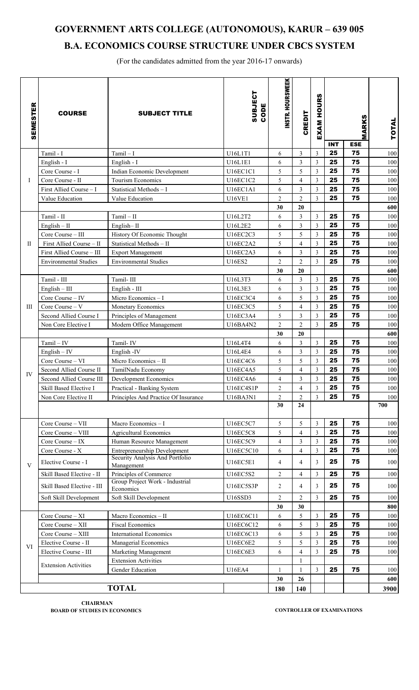# **GOVERNMENT ARTS COLLEGE (AUTONOMOUS), KARUR – 639 005 B.A. ECONOMICS COURSE STRUCTURE UNDER CBCS SYSTEM**

(For the candidates admitted from the year 2016-17 onwards)

| <b>SEMESTER</b> | <b>COURSE</b>                | <b>SUBJECT TITLE</b>                            | SUBJECT<br>CODE | INSTR. HOURSWEEK    | <b>CREDIT</b>           | <b>HOURS</b><br>EXAM | <b>INT</b> | MARKS<br><b>ESE</b> | <b>TOTAL</b> |
|-----------------|------------------------------|-------------------------------------------------|-----------------|---------------------|-------------------------|----------------------|------------|---------------------|--------------|
|                 | Tamil - I                    | $Tamil-I$                                       | U16L1T1         | 6                   | 3                       | $\overline{3}$       | 25         | 75                  | 100          |
|                 | English - I                  | English - I                                     | U16L1E1         | 6                   | 3                       | $\mathfrak{Z}$       | 25         | 75                  | 100          |
|                 | Core Course - I              | Indian Economic Development                     | <b>U16EC1C1</b> | 5                   | 5                       | $\mathfrak{Z}$       | 25         | 75                  | 100          |
| Ι               | Core Course - II             | <b>Tourism Economics</b>                        | <b>U16EC1C2</b> | 5                   | $\overline{4}$          | 3                    | 25         | 75                  | 100          |
|                 | First Allied Course - I      | Statistical Methods - I                         | U16EC1A1        | 6                   | 3                       | $\mathfrak{Z}$       | 25         | 75                  | 100          |
|                 | Value Education              | Value Education                                 | <b>U16VE1</b>   | $\overline{2}$      | $\overline{2}$          | $\overline{3}$       | 25         | 75                  | 100          |
|                 |                              |                                                 |                 | 30                  | 20                      |                      |            |                     | 600          |
|                 | Tamil - II                   | $Tamil - II$                                    | U16L2T2         | 6                   | 3                       | $\mathfrak{Z}$       | 25         | 75                  | 100          |
|                 | $English - II$               | English-II                                      | U16L2E2         | 6                   | 3                       | 3                    | 25         | 75                  | 100          |
|                 | Core Course - III            | History Of Economic Thought                     | U16EC2C3        | 5                   | 5                       | $\mathfrak{Z}$       | 25         | 75                  | 100          |
| П               | First Allied Course - II     | Statistical Methods - II                        | <b>U16EC2A2</b> | 5                   | $\overline{4}$          | 3                    | 25         | 75                  | 100          |
|                 | First Allied Course - III    | <b>Export Management</b>                        | U16EC2A3        | 6                   | 3                       | $\mathfrak{Z}$       | 25         | 75                  | 100          |
|                 | <b>Environmental Studies</b> | <b>Environmental Studies</b>                    | <b>U16ES2</b>   | $\overline{2}$      | $\overline{2}$          | $\overline{3}$       | 25         | 75                  | 100          |
|                 |                              |                                                 |                 | 30                  | 20                      |                      |            |                     | 600          |
|                 | Tamil - III                  | Tamil-III                                       | U16L3T3         | 6                   | 3                       | $\mathfrak{Z}$       | 25         | 75                  | 100          |
|                 | $English - III$              | English - III                                   | U16L3E3         | 6                   | 3                       | 3                    | 25         | 75<br>75            | 100          |
|                 | Core Course - IV             | Micro Economics - I                             | U16EC3C4        | 6                   | 5                       | $\mathfrak{Z}$       | 25<br>25   | 75                  | 100          |
| Ш               | Core Course - V              | Monetary Economics                              | U16EC3C5        | 5                   | $\overline{4}$          | $\mathfrak{Z}$       | 25         | 75                  | 100          |
|                 | Second Allied Course I       | Principles of Management                        | U16EC3A4        | 5<br>$\overline{2}$ | 3<br>$\overline{2}$     | 3<br>3               | 25         | 75                  | 100          |
|                 | Non Core Elective I          | Modern Office Management                        | U16BA4N2        | 30                  | 20                      |                      |            |                     | 100<br>600   |
|                 | $Tamil - IV$                 | Tamil-IV                                        | U16L4T4         | 6                   | 3                       | 3                    | 25         | 75                  | 100          |
|                 | $English - IV$               | English-IV                                      | U16L4E4         | 6                   | 3                       | $\mathfrak{Z}$       | 25         | 75                  | 100          |
|                 | Core Course - VI             | Micro Economics - II                            | <b>U16EC4C6</b> | 5                   | 5                       | 3                    | 25         | 75                  | 100          |
|                 | Second Allied Course II      | TamilNadu Economy                               | U16EC4A5        | 5                   | 4                       | $\overline{3}$       | 25         | 75                  | 100          |
| IV              | Second Allied Course III     | Development Economics                           | U16EC4A6        | 4                   | 3                       | 3                    | 25         | 75                  | 100          |
|                 | Skill Based Elective I       | Practical - Banking System                      | U16EC4S1P       | $\overline{2}$      | $\overline{4}$          | $\overline{3}$       | 25         | 75                  | 100          |
|                 | Non Core Elective II         | Principles And Practice Of Insurance            | U16BA3N1        | $\overline{2}$      | $\overline{c}$          | 3                    | 25         | 75                  | 100          |
|                 |                              |                                                 |                 | 30                  | 24                      |                      |            |                     | 700          |
|                 | Core Course - VII            | Macro Economics - I                             | U16EC5C7        | 5                   | 5                       | 3                    | 25         | 75                  | 100          |
|                 | Core Course - VIII           | <b>Agricultural Economics</b>                   | <b>U16EC5C8</b> | 5                   | $\overline{\mathbf{4}}$ | 3                    | 25         | 75                  | 100          |
|                 | Core Course - IX             | Human Resource Management                       | <b>U16EC5C9</b> | 4                   | 3                       | $\overline{3}$       | 25         | 75                  | 100          |
|                 | Core Course - X              | Entrepreneurship Development                    | U16EC5C10       | 6                   | 4                       | $\overline{3}$       | 25         | 75                  | 100          |
| $\mathbf{V}$    | Elective Course - I          | Security Analysis And Portfolio<br>Management   | <b>U16EC5E1</b> | $\overline{4}$      | 4                       | 3                    | 25         | 75                  | 100          |
|                 | Skill Based Elective - II    | Principles of Commerce                          | U16EC5S2        | $\overline{2}$      | 4                       | $\mathfrak{Z}$       | 25         | 75                  | 100          |
|                 | Skill Based Elective - III   | Group Project Work - Industrial<br>Economics    | U16EC5S3P       | $\overline{2}$      | 4                       | 3                    | 25         | 75                  | 100          |
|                 | Soft Skill Development       | Soft Skill Development                          | U16SSD3         | $\overline{c}$      | 2                       | $\overline{3}$       | 25         | 75                  | 100          |
|                 |                              |                                                 |                 | 30                  | 30                      |                      |            |                     | 800          |
|                 | Core Course - XI             | Macro Economics - II                            | U16EC6C11       | 6                   | 5                       | $\mathfrak{Z}$       | 25         | 75                  | 100          |
|                 | Core Course - XII            | <b>Fiscal Economics</b>                         | U16EC6C12       | 6                   | 5                       | 3                    | 25         | 75                  | 100          |
|                 | Core Course - XIII           | <b>International Economics</b>                  | U16EC6C13       | 6                   | 5                       | $\overline{3}$       | 25         | 75                  | 100          |
| VI              | Elective Course - II         | Managerial Economics                            | <b>U16EC6E2</b> | 5                   | 5                       | $\mathfrak{Z}$       | 25         | 75                  | 100          |
|                 | Elective Course - III        | Marketing Management                            | U16EC6E3        | 6                   | $\overline{4}$          | 3                    | 25         | 75                  | 100          |
|                 | <b>Extension Activities</b>  | <b>Extension Activities</b><br>Gender Education | <b>U16EA4</b>   | $\mathbf{1}$        | 1<br>1                  | 3                    | 25         | 75                  | 100          |
|                 |                              |                                                 |                 | 30                  | 26                      |                      |            |                     | 600          |
| <b>TOTAL</b>    |                              |                                                 |                 | 140                 |                         |                      |            | 3900                |              |
|                 |                              |                                                 |                 | 180                 |                         |                      |            |                     |              |

**CHAIRMAN BOARD OF STUDIES IN ECONOMICS CONTROLLER OF EXAMINATIONS**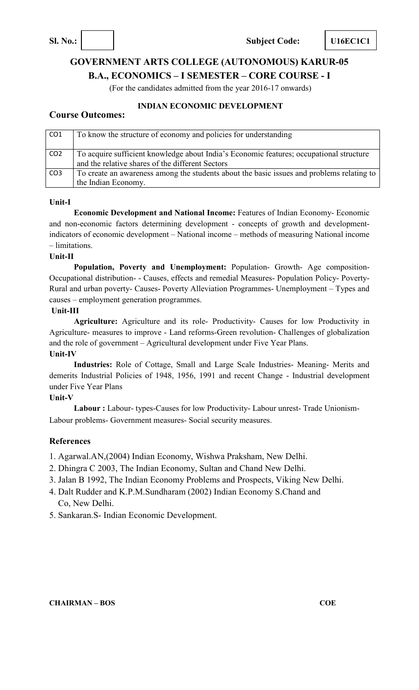**Sl. No.: Subject Code: U16EC1C1** 

# **GOVERNMENT ARTS COLLEGE (AUTONOMOUS) KARUR-05 B.A., ECONOMICS – I SEMESTER – CORE COURSE - I**

(For the candidates admitted from the year 2016-17 onwards)

### **INDIAN ECONOMIC DEVELOPMENT**

### **Course Outcomes:**

| CO <sub>1</sub> | To know the structure of economy and policies for understanding                                                                             |
|-----------------|---------------------------------------------------------------------------------------------------------------------------------------------|
| CO <sub>2</sub> | To acquire sufficient knowledge about India's Economic features; occupational structure<br>and the relative shares of the different Sectors |
| CO <sub>3</sub> | To create an awareness among the students about the basic issues and problems relating to<br>the Indian Economy.                            |

### **Unit-I**

**Economic Development and National Income:** Features of Indian Economy- Economic and non-economic factors determining development - concepts of growth and developmentindicators of economic development – National income – methods of measuring National income – limitations.

### **Unit-II**

**Population, Poverty and Unemployment:** Population- Growth- Age composition-Occupational distribution- - Causes, effects and remedial Measures- Population Policy- Poverty-Rural and urban poverty- Causes- Poverty Alleviation Programmes- Unemployment – Types and causes – employment generation programmes.

### **Unit-III**

**Agriculture:** Agriculture and its role- Productivity- Causes for low Productivity in Agriculture- measures to improve - Land reforms-Green revolution- Challenges of globalization and the role of government – Agricultural development under Five Year Plans.

### **Unit-IV**

**Industries:** Role of Cottage, Small and Large Scale Industries- Meaning- Merits and demerits Industrial Policies of 1948, 1956, 1991 and recent Change - Industrial development under Five Year Plans

### **Unit-V**

**Labour :** Labour- types-Causes for low Productivity- Labour unrest- Trade Unionism-Labour problems- Government measures- Social security measures.

### **References**

1. Agarwal.AN,(2004) Indian Economy, Wishwa Praksham, New Delhi.

- 2. Dhingra C 2003, The Indian Economy, Sultan and Chand New Delhi.
- 3. Jalan B 1992, The Indian Economy Problems and Prospects, Viking New Delhi.
- 4. Dalt Rudder and K.P.M.Sundharam (2002) Indian Economy S.Chand and Co, New Delhi.
- 5. Sankaran.S- Indian Economic Development.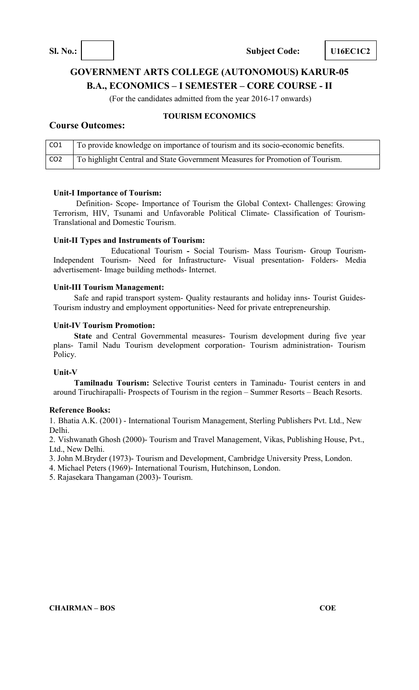# **GOVERNMENT ARTS COLLEGE (AUTONOMOUS) KARUR-05 B.A., ECONOMICS – I SEMESTER – CORE COURSE - II**

(For the candidates admitted from the year 2016-17 onwards)

### **Course Outcomes:**

### **TOURISM ECONOMICS**

| CO <sub>1</sub> | To provide knowledge on importance of tourism and its socio-economic benefits.            |
|-----------------|-------------------------------------------------------------------------------------------|
| CO <sub>2</sub> | <sup>1</sup> To highlight Central and State Government Measures for Promotion of Tourism. |

### **Unit-I Importance of Tourism:**

Definition- Scope- Importance of Tourism the Global Context- Challenges: Growing Terrorism, HIV, Tsunami and Unfavorable Political Climate- Classification of Tourism-Translational and Domestic Tourism.

### **Unit-II Types and Instruments of Tourism:**

Educational Tourism **-** Social Tourism- Mass Tourism- Group Tourism-Independent Tourism- Need for Infrastructure- Visual presentation- Folders- Media advertisement- Image building methods- Internet.

### **Unit-III Tourism Management:**

Safe and rapid transport system- Quality restaurants and holiday inns- Tourist Guides-Tourism industry and employment opportunities- Need for private entrepreneurship.

### **Unit-IV Tourism Promotion:**

**State** and Central Governmental measures- Tourism development during five year plans- Tamil Nadu Tourism development corporation- Tourism administration- Tourism Policy.

### **Unit-V**

**Tamilnadu Tourism:** Selective Tourist centers in Taminadu- Tourist centers in and around Tiruchirapalli- Prospects of Tourism in the region – Summer Resorts – Beach Resorts.

### **Reference Books:**

1. Bhatia A.K. (2001) - International Tourism Management, Sterling Publishers Pvt. Ltd., New Delhi.

2. Vishwanath Ghosh (2000)- Tourism and Travel Management, Vikas, Publishing House, Pvt., Ltd., New Delhi.

3. John M.Bryder (1973)- Tourism and Development, Cambridge University Press, London.

4. Michael Peters (1969)- International Tourism, Hutchinson, London.

5. Rajasekara Thangaman (2003)- Tourism.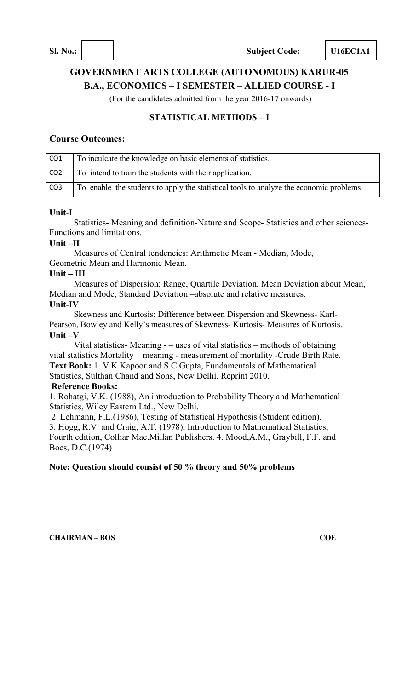# **GOVERNMENT ARTS COLLEGE (AUTONOMOUS) KARUR-05 B.A., ECONOMICS – I SEMESTER – ALLIED COURSE - I**

(For the candidates admitted from the year 2016-17 onwards)

### **STATISTICAL METHODS – I**

### **Course Outcomes:**

| CO <sub>1</sub> | To inculcate the knowledge on basic elements of statistics.                            |
|-----------------|----------------------------------------------------------------------------------------|
| CO <sub>2</sub> | To intend to train the students with their application.                                |
| CO <sub>3</sub> | To enable the students to apply the statistical tools to analyze the economic problems |

### **Unit-I**

Statistics- Meaning and definition-Nature and Scope- Statistics and other sciences-Functions and limitations.

### **Unit –II**

Measures of Central tendencies: Arithmetic Mean - Median, Mode, Geometric Mean and Harmonic Mean.

### **Unit – III**

Measures of Dispersion: Range, Quartile Deviation, Mean Deviation about Mean, Median and Mode, Standard Deviation –absolute and relative measures. **Unit-IV** 

Skewness and Kurtosis: Difference between Dispersion and Skewness- Karl-Pearson, Bowley and Kelly's measures of Skewness- Kurtosis- Measures of Kurtosis. **Unit –V** 

Vital statistics- Meaning - – uses of vital statistics – methods of obtaining vital statistics Mortality – meaning - measurement of mortality -Crude Birth Rate. **Text Book:** 1. V.K.Kapoor and S.C.Gupta, Fundamentals of Mathematical Statistics, Sulthan Chand and Sons, New Delhi. Reprint 2010. **Reference Books:** 

### 1. Rohatgi, V.K. (1988), An introduction to Probability Theory and Mathematical Statistics, Wiley Eastern Ltd., New Delhi.

2. Lehmann, F.L.(1986), Testing of Statistical Hypothesis (Student edition). 3. Hogg, R.V. and Craig, A.T. (1978), Introduction to Mathematical Statistics, Fourth edition, Colliar Mac.Millan Publishers. 4. Mood,A.M., Graybill, F.F. and Boes, D.C.(1974)

### **Note: Question should consist of 50 % theory and 50% problems**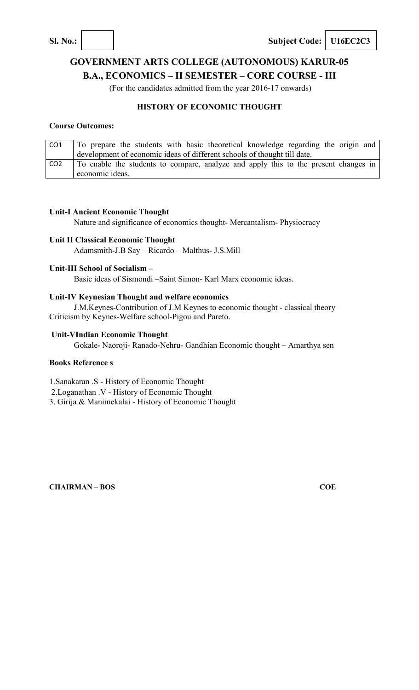**Sl. No.: Subject Code: U16EC2C3** 

# **GOVERNMENT ARTS COLLEGE (AUTONOMOUS) KARUR-05 B.A., ECONOMICS – II SEMESTER – CORE COURSE - III**

(For the candidates admitted from the year 2016-17 onwards)

### **HISTORY OF ECONOMIC THOUGHT**

### **Course Outcomes:**

| CO1             | To prepare the students with basic theoretical knowledge regarding the origin and                      |
|-----------------|--------------------------------------------------------------------------------------------------------|
|                 | development of economic ideas of different schools of thought till date.                               |
| CO <sub>2</sub> | To enable the students to compare, analyze and apply this to the present changes in<br>economic ideas. |

### **Unit-I Ancient Economic Thought**

Nature and significance of economics thought- Mercantalism- Physiocracy

### **Unit II Classical Economic Thought**

Adamsmith-J.B Say – Ricardo – Malthus- J.S.Mill

### **Unit-III School of Socialism –**

Basic ideas of Sismondi –Saint Simon- Karl Marx economic ideas.

### **Unit-IV Keynesian Thought and welfare economics**

J.M.Keynes-Contribution of J.M Keynes to economic thought - classical theory – Criticism by Keynes-Welfare school-Pigou and Pareto.

### **Unit-VIndian Economic Thought**

Gokale- Naoroji- Ranado-Nehru- Gandhian Economic thought – Amarthya sen

### **Books Reference s**

1.Sanakaran .S - History of Economic Thought

2.Loganathan .V - History of Economic Thought

3. Girija & Manimekalai - History of Economic Thought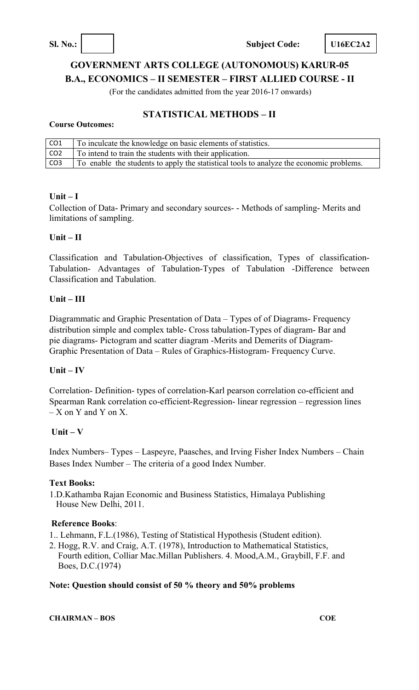**Sl. No.: Subject Code: U16EC2A2** 

# **GOVERNMENT ARTS COLLEGE (AUTONOMOUS) KARUR-05 B.A., ECONOMICS – II SEMESTER – FIRST ALLIED COURSE - II**

(For the candidates admitted from the year 2016-17 onwards)

# **STATISTICAL METHODS – II**

### **Course Outcomes:**

| CO <sub>1</sub> | To inculcate the knowledge on basic elements of statistics.                             |
|-----------------|-----------------------------------------------------------------------------------------|
| CO <sub>2</sub> | To intend to train the students with their application.                                 |
| CO <sub>3</sub> | To enable the students to apply the statistical tools to analyze the economic problems. |

### **Unit – I**

Collection of Data- Primary and secondary sources- - Methods of sampling- Merits and limitations of sampling.

### **Unit – II**

Classification and Tabulation-Objectives of classification, Types of classification-Tabulation- Advantages of Tabulation-Types of Tabulation -Difference between Classification and Tabulation.

### **Unit – III**

Diagrammatic and Graphic Presentation of Data – Types of of Diagrams- Frequency distribution simple and complex table- Cross tabulation-Types of diagram- Bar and pie diagrams- Pictogram and scatter diagram -Merits and Demerits of Diagram-Graphic Presentation of Data – Rules of Graphics-Histogram- Frequency Curve.

### **Unit – IV**

Correlation- Definition- types of correlation-Karl pearson correlation co-efficient and Spearman Rank correlation co-efficient-Regression- linear regression – regression lines  $-X$  on Y and Y on X.

### **Unit – V**

Index Numbers– Types – Laspeyre, Paasches, and Irving Fisher Index Numbers – Chain Bases Index Number – The criteria of a good Index Number.

### **Text Books:**

1.D.Kathamba Rajan Economic and Business Statistics, Himalaya Publishing House New Delhi, 2011.

### **Reference Books**:

- 1.. Lehmann, F.L.(1986), Testing of Statistical Hypothesis (Student edition).
- 2. Hogg, R.V. and Craig, A.T. (1978), Introduction to Mathematical Statistics, Fourth edition, Colliar Mac.Millan Publishers. 4. Mood,A.M., Graybill, F.F. and Boes, D.C.(1974)

### **Note: Question should consist of 50 % theory and 50% problems**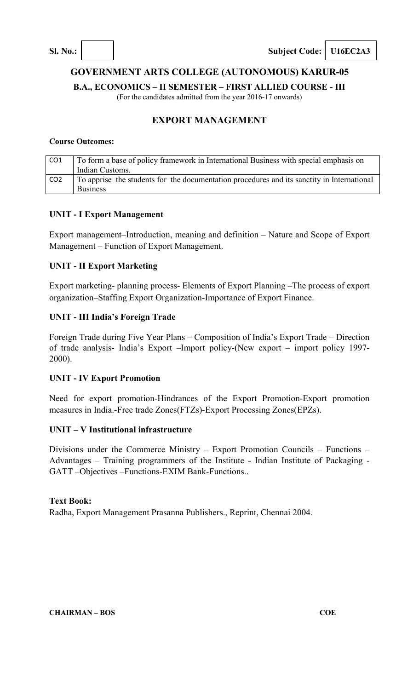## **GOVERNMENT ARTS COLLEGE (AUTONOMOUS) KARUR-05**

**B.A., ECONOMICS – II SEMESTER – FIRST ALLIED COURSE - III** 

(For the candidates admitted from the year 2016-17 onwards)

### **EXPORT MANAGEMENT**

### **Course Outcomes:**

| CO1             | To form a base of policy framework in International Business with special emphasis on      |  |
|-----------------|--------------------------------------------------------------------------------------------|--|
|                 | Indian Customs.                                                                            |  |
| CO <sub>2</sub> | To apprise the students for the documentation procedures and its sanctity in International |  |
|                 | <b>Business</b>                                                                            |  |

### **UNIT - I Export Management**

Export management–Introduction, meaning and definition – Nature and Scope of Export Management – Function of Export Management.

### **UNIT - II Export Marketing**

Export marketing- planning process- Elements of Export Planning –The process of export organization–Staffing Export Organization-Importance of Export Finance.

### **UNIT - III India's Foreign Trade**

Foreign Trade during Five Year Plans – Composition of India's Export Trade – Direction of trade analysis- India's Export –Import policy-(New export – import policy 1997- 2000).

### **UNIT - IV Export Promotion**

Need for export promotion-Hindrances of the Export Promotion-Export promotion measures in India.-Free trade Zones(FTZs)-Export Processing Zones(EPZs).

### **UNIT – V Institutional infrastructure**

Divisions under the Commerce Ministry – Export Promotion Councils – Functions – Advantages – Training programmers of the Institute - Indian Institute of Packaging - GATT –Objectives –Functions-EXIM Bank-Functions..

### **Text Book:**

Radha, Export Management Prasanna Publishers., Reprint, Chennai 2004.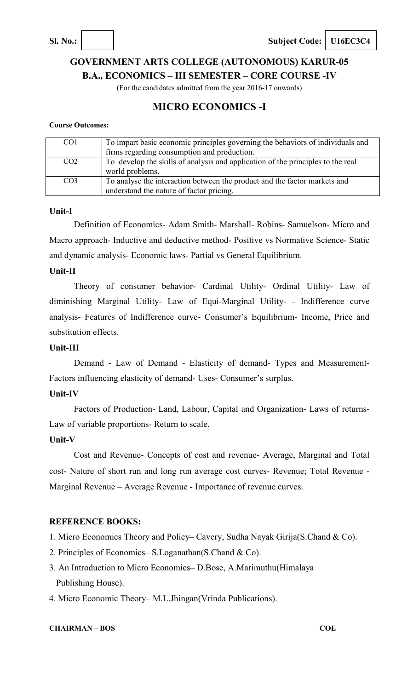**Sl. No.: Subject Code: U16EC3C4** 

# **GOVERNMENT ARTS COLLEGE (AUTONOMOUS) KARUR-05 B.A., ECONOMICS – III SEMESTER – CORE COURSE -IV**

(For the candidates admitted from the year 2016-17 onwards)

# **MICRO ECONOMICS -I**

### **Course Outcomes:**

| CO <sub>1</sub> | To impart basic economic principles governing the behaviors of individuals and<br>firms regarding consumption and production. |
|-----------------|-------------------------------------------------------------------------------------------------------------------------------|
| CO <sub>2</sub> | To develop the skills of analysis and application of the principles to the real<br>world problems.                            |
| CO <sub>3</sub> | To analyse the interaction between the product and the factor markets and<br>understand the nature of factor pricing.         |

### **Unit-I**

Definition of Economics- Adam Smith- Marshall- Robins- Samuelson- Micro and Macro approach- Inductive and deductive method- Positive vs Normative Science- Static and dynamic analysis- Economic laws- Partial vs General Equilibrium.

### **Unit-II**

Theory of consumer behavior- Cardinal Utility- Ordinal Utility- Law of diminishing Marginal Utility- Law of Equi-Marginal Utility- - Indifference curve analysis- Features of Indifference curve- Consumer's Equilibrium- Income, Price and substitution effects.

### **Unit-III**

Demand - Law of Demand - Elasticity of demand- Types and Measurement-Factors influencing elasticity of demand- Uses- Consumer's surplus.

### **Unit-IV**

Factors of Production- Land, Labour, Capital and Organization- Laws of returns-Law of variable proportions- Return to scale.

### **Unit-V**

Cost and Revenue- Concepts of cost and revenue- Average, Marginal and Total cost- Nature of short run and long run average cost curves- Revenue; Total Revenue - Marginal Revenue – Average Revenue - Importance of revenue curves.

### **REFERENCE BOOKS:**

- 1. Micro Economics Theory and Policy– Cavery, Sudha Nayak Girija(S.Chand & Co).
- 2. Principles of Economics– S.Loganathan(S.Chand & Co).
- 3. An Introduction to Micro Economics– D.Bose, A.Marimuthu(Himalaya Publishing House).
- 4. Micro Economic Theory– M.L.Jhingan(Vrinda Publications).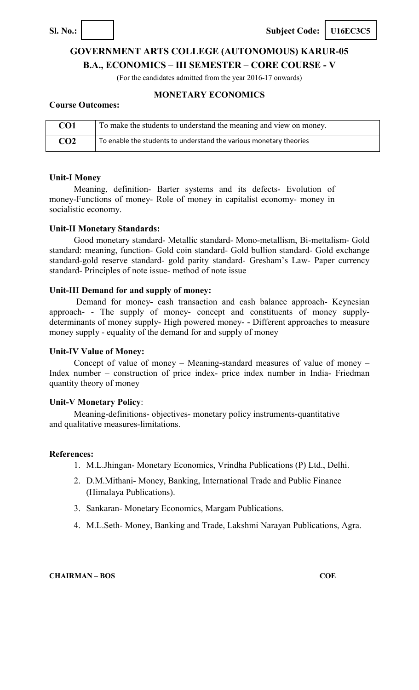

**Sl. No.: Subject Code: U16EC3C5** 

# **GOVERNMENT ARTS COLLEGE (AUTONOMOUS) KARUR-05**

**B.A., ECONOMICS – III SEMESTER – CORE COURSE - V** 

(For the candidates admitted from the year 2016-17 onwards)

### **MONETARY ECONOMICS**

### **Course Outcomes:**

| CO1             | To make the students to understand the meaning and view on money.  |
|-----------------|--------------------------------------------------------------------|
| CO <sub>2</sub> | To enable the students to understand the various monetary theories |

### **Unit-I Money**

Meaning, definition- Barter systems and its defects- Evolution of money-Functions of money- Role of money in capitalist economy- money in socialistic economy.

### **Unit-II Monetary Standards:**

Good monetary standard- Metallic standard- Mono-metallism, Bi-mettalism- Gold standard: meaning, function- Gold coin standard- Gold bullion standard- Gold exchange standard-gold reserve standard- gold parity standard- Gresham's Law- Paper currency standard- Principles of note issue- method of note issue

### **Unit-III Demand for and supply of money:**

Demand for money**-** cash transaction and cash balance approach- Keynesian approach- - The supply of money- concept and constituents of money supplydeterminants of money supply- High powered money- - Different approaches to measure money supply - equality of the demand for and supply of money

### **Unit-IV Value of Money:**

Concept of value of money – Meaning-standard measures of value of money – Index number – construction of price index- price index number in India- Friedman quantity theory of money

### **Unit-V Monetary Policy**:

Meaning-definitions- objectives- monetary policy instruments-quantitative and qualitative measures-limitations.

### **References:**

- 1. M.L.Jhingan- Monetary Economics, Vrindha Publications (P) Ltd., Delhi.
- 2. D.M.Mithani- Money, Banking, International Trade and Public Finance (Himalaya Publications).
- 3. Sankaran- Monetary Economics, Margam Publications.
- 4. M.L.Seth- Money, Banking and Trade, Lakshmi Narayan Publications, Agra.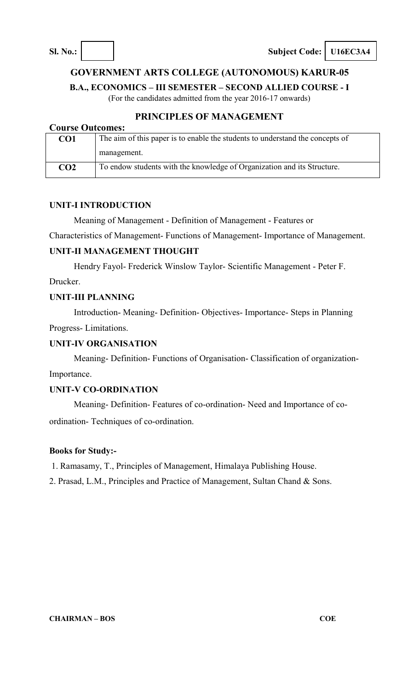### **GOVERNMENT ARTS COLLEGE (AUTONOMOUS) KARUR-05**

**B.A., ECONOMICS – III SEMESTER – SECOND ALLIED COURSE - I** 

(For the candidates admitted from the year 2016-17 onwards)

## **PRINCIPLES OF MANAGEMENT**

| <b>Course Outcomes:</b>                                                                          |                                                                         |  |  |  |  |
|--------------------------------------------------------------------------------------------------|-------------------------------------------------------------------------|--|--|--|--|
| The aim of this paper is to enable the students to understand the concepts of<br>CO <sub>1</sub> |                                                                         |  |  |  |  |
|                                                                                                  | management.                                                             |  |  |  |  |
| CO <sub>2</sub>                                                                                  | To endow students with the knowledge of Organization and its Structure. |  |  |  |  |

### **UNIT-I INTRODUCTION**

Meaning of Management - Definition of Management - Features or

Characteristics of Management- Functions of Management- Importance of Management.

### **UNIT-II MANAGEMENT THOUGHT**

Hendry Fayol- Frederick Winslow Taylor- Scientific Management - Peter F.

Drucker.

### **UNIT-III PLANNING**

Introduction- Meaning- Definition- Objectives- Importance- Steps in Planning Progress- Limitations.

### **UNIT-IV ORGANISATION**

Meaning- Definition- Functions of Organisation- Classification of organization-

Importance.

### **UNIT-V CO-ORDINATION**

Meaning- Definition- Features of co-ordination- Need and Importance of coordination- Techniques of co-ordination.

### **Books for Study:-**

1. Ramasamy, T., Principles of Management, Himalaya Publishing House.

2. Prasad, L.M., Principles and Practice of Management, Sultan Chand & Sons.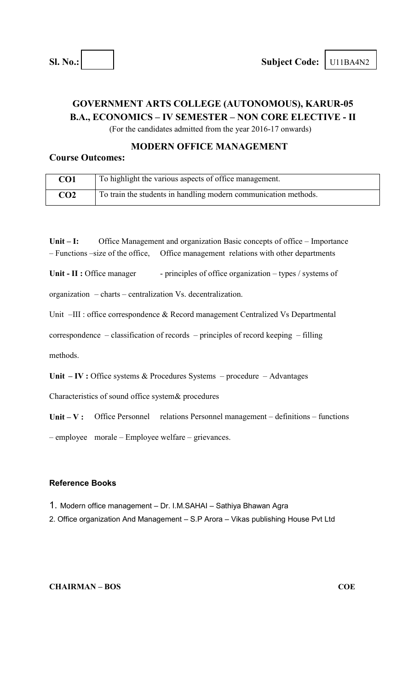# **GOVERNMENT ARTS COLLEGE (AUTONOMOUS), KARUR-05 B.A., ECONOMICS – IV SEMESTER – NON CORE ELECTIVE - II**

(For the candidates admitted from the year 2016-17 onwards)

### **MODERN OFFICE MANAGEMENT**

### **Course Outcomes:**

| CO1             | To highlight the various aspects of office management.          |
|-----------------|-----------------------------------------------------------------|
| CO <sub>2</sub> | To train the students in handling modern communication methods. |

**Unit – I:** Office Management and organization Basic concepts of office – Importance – Functions –size of the office, Office management relations with other departments

Unit - II : Office manager - principles of office organization – types / systems of

organization – charts – centralization Vs. decentralization.

Unit –III : office correspondence & Record management Centralized Vs Departmental

correspondence – classification of records – principles of record keeping – filling

methods.

Unit **– IV** : Office systems & Procedures Systems – procedure – Advantages

Characteristics of sound office system& procedures

Unit – V: Office Personnel relations Personnel management – definitions – functions

– employee morale – Employee welfare – grievances.

### **Reference Books**

1. Modern office management – Dr. I.M.SAHAI – Sathiya Bhawan Agra

2. Office organization And Management – S.P Arora – Vikas publishing House Pvt Ltd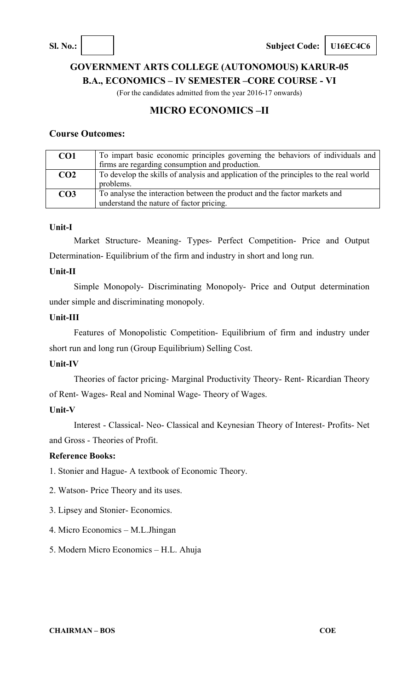**Sl. No.:**  $\vert$  **Subject Code: U16EC4C6** 

# **GOVERNMENT ARTS COLLEGE (AUTONOMOUS) KARUR-05 B.A., ECONOMICS – IV SEMESTER –CORE COURSE - VI**

(For the candidates admitted from the year 2016-17 onwards)

# **MICRO ECONOMICS –II**

### **Course Outcomes:**

| CO <sub>1</sub> | To impart basic economic principles governing the behaviors of individuals and                                        |
|-----------------|-----------------------------------------------------------------------------------------------------------------------|
|                 | firms are regarding consumption and production.                                                                       |
| CO <sub>2</sub> | To develop the skills of analysis and application of the principles to the real world<br>problems.                    |
| CO <sub>3</sub> | To analyse the interaction between the product and the factor markets and<br>understand the nature of factor pricing. |

### **Unit-I**

Market Structure- Meaning- Types- Perfect Competition- Price and Output Determination- Equilibrium of the firm and industry in short and long run.

### **Unit-II**

Simple Monopoly- Discriminating Monopoly- Price and Output determination under simple and discriminating monopoly.

### **Unit-III**

Features of Monopolistic Competition- Equilibrium of firm and industry under short run and long run (Group Equilibrium) Selling Cost.

### **Unit-IV**

Theories of factor pricing- Marginal Productivity Theory- Rent- Ricardian Theory of Rent- Wages- Real and Nominal Wage- Theory of Wages.

### **Unit-V**

Interest - Classical- Neo- Classical and Keynesian Theory of Interest- Profits- Net and Gross - Theories of Profit.

### **Reference Books:**

- 1. Stonier and Hague- A textbook of Economic Theory.
- 2. Watson- Price Theory and its uses.
- 3. Lipsey and Stonier- Economics.
- 4. Micro Economics M.L.Jhingan
- 5. Modern Micro Economics H.L. Ahuja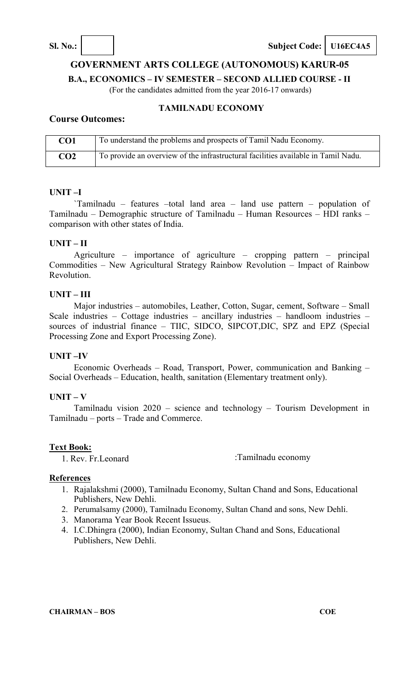**Sl. No.: Subject Code: U16EC4A5** 

### **GOVERNMENT ARTS COLLEGE (AUTONOMOUS) KARUR-05**

**B.A., ECONOMICS – IV SEMESTER – SECOND ALLIED COURSE - II** 

(For the candidates admitted from the year 2016-17 onwards)

### **TAMILNADU ECONOMY**

### **Course Outcomes:**

| CO1             | To understand the problems and prospects of Tamil Nadu Economy.                   |
|-----------------|-----------------------------------------------------------------------------------|
| CO <sub>2</sub> | To provide an overview of the infrastructural facilities available in Tamil Nadu. |

### **UNIT –I**

`Tamilnadu – features –total land area – land use pattern – population of Tamilnadu – Demographic structure of Tamilnadu – Human Resources – HDI ranks – comparison with other states of India.

### **UNIT – II**

Agriculture – importance of agriculture – cropping pattern – principal Commodities – New Agricultural Strategy Rainbow Revolution – Impact of Rainbow Revolution.

### **UNIT – III**

Major industries – automobiles, Leather, Cotton, Sugar, cement, Software – Small Scale industries – Cottage industries – ancillary industries – handloom industries – sources of industrial finance – TIIC, SIDCO, SIPCOT,DIC, SPZ and EPZ (Special Processing Zone and Export Processing Zone).

### **UNIT –IV**

Economic Overheads – Road, Transport, Power, communication and Banking – Social Overheads – Education, health, sanitation (Elementary treatment only).

### **UNIT – V**

Tamilnadu vision 2020 – science and technology – Tourism Development in Tamilnadu – ports – Trade and Commerce.

### **Text Book:**

1. Rev. Fr. Leonard :Tamilnadu economy

### **References**

- 1. Rajalakshmi (2000), Tamilnadu Economy, Sultan Chand and Sons, Educational Publishers, New Dehli.
- 2. Perumalsamy (2000), Tamilnadu Economy, Sultan Chand and sons, New Dehli.
- 3. Manorama Year Book Recent Issueus.
- 4. I.C.Dhingra (2000), Indian Economy, Sultan Chand and Sons, Educational Publishers, New Dehli.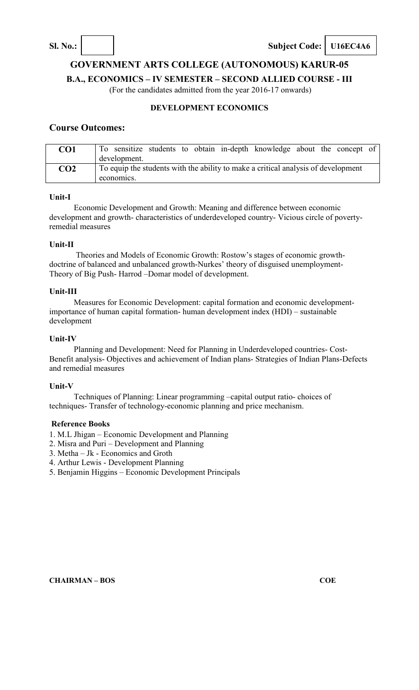**Sl. No.: Subject Code: U16EC4A6** 

**GOVERNMENT ARTS COLLEGE (AUTONOMOUS) KARUR-05** 

**B.A., ECONOMICS – IV SEMESTER – SECOND ALLIED COURSE - III** 

(For the candidates admitted from the year 2016-17 onwards)

### **DEVELOPMENT ECONOMICS**

### **Course Outcomes:**

| CO <sub>1</sub> | To sensitize students to obtain in-depth knowledge about the concept of<br>development.         |
|-----------------|-------------------------------------------------------------------------------------------------|
| CO <sub>2</sub> | To equip the students with the ability to make a critical analysis of development<br>economics. |

### **Unit-I**

Economic Development and Growth: Meaning and difference between economic development and growth- characteristics of underdeveloped country- Vicious circle of povertyremedial measures

### **Unit-II**

Theories and Models of Economic Growth: Rostow's stages of economic growthdoctrine of balanced and unbalanced growth-Nurkes' theory of disguised unemployment-Theory of Big Push- Harrod –Domar model of development.

### **Unit-III**

Measures for Economic Development: capital formation and economic developmentimportance of human capital formation- human development index (HDI) – sustainable development

### **Unit-IV**

Planning and Development: Need for Planning in Underdeveloped countries- Cost-Benefit analysis- Objectives and achievement of Indian plans- Strategies of Indian Plans-Defects and remedial measures

### **Unit-V**

Techniques of Planning: Linear programming –capital output ratio- choices of techniques- Transfer of technology-economic planning and price mechanism.

### **Reference Books**

1. M.L Jhigan – Economic Development and Planning

- 2. Misra and Puri Development and Planning
- 3. Metha Jk Economics and Groth
- 4. Arthur Lewis Development Planning
- 5. Benjamin Higgins Economic Development Principals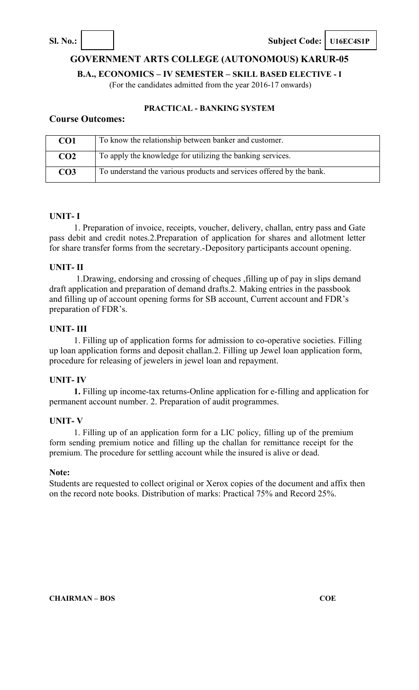**Sl. No.: Subject Code: U16EC4S1P** 

**GOVERNMENT ARTS COLLEGE (AUTONOMOUS) KARUR-05** 

**B.A., ECONOMICS – IV SEMESTER – SKILL BASED ELECTIVE - I** 

(For the candidates admitted from the year 2016-17 onwards)

### **PRACTICAL - BANKING SYSTEM**

### **Course Outcomes:**

| CO1             | To know the relationship between banker and customer.                |
|-----------------|----------------------------------------------------------------------|
| CO <sub>2</sub> | To apply the knowledge for utilizing the banking services.           |
| CO3             | To understand the various products and services offered by the bank. |

### **UNIT- I**

1. Preparation of invoice, receipts, voucher, delivery, challan, entry pass and Gate pass debit and credit notes.2.Preparation of application for shares and allotment letter for share transfer forms from the secretary.-Depository participants account opening.

### **UNIT- II**

1.Drawing, endorsing and crossing of cheques ,filling up of pay in slips demand draft application and preparation of demand drafts.2. Making entries in the passbook and filling up of account opening forms for SB account, Current account and FDR's preparation of FDR's.

### **UNIT- III**

1. Filling up of application forms for admission to co-operative societies. Filling up loan application forms and deposit challan.2. Filling up Jewel loan application form, procedure for releasing of jewelers in jewel loan and repayment.

### **UNIT- IV**

**1.** Filling up income-tax returns-Online application for e-filling and application for permanent account number. 2. Preparation of audit programmes.

### **UNIT- V**

1. Filling up of an application form for a LIC policy, filling up of the premium form sending premium notice and filling up the challan for remittance receipt for the premium. The procedure for settling account while the insured is alive or dead.

### **Note:**

Students are requested to collect original or Xerox copies of the document and affix then on the record note books. Distribution of marks: Practical 75% and Record 25%.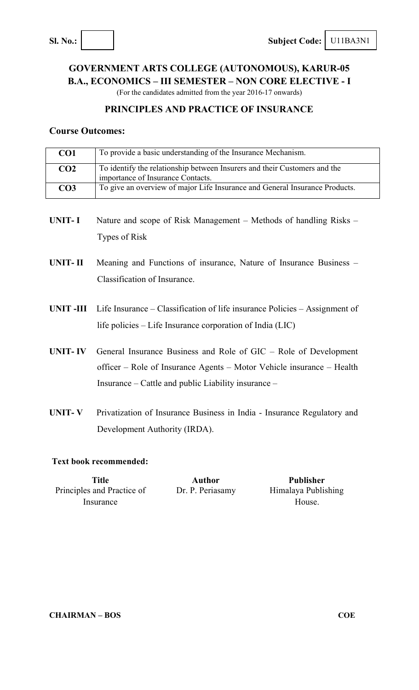# **GOVERNMENT ARTS COLLEGE (AUTONOMOUS), KARUR-05 B.A., ECONOMICS – III SEMESTER – NON CORE ELECTIVE - I**

(For the candidates admitted from the year 2016-17 onwards)

### **PRINCIPLES AND PRACTICE OF INSURANCE**

### **Course Outcomes:**

| CO <sub>1</sub> | To provide a basic understanding of the Insurance Mechanism.                                                   |
|-----------------|----------------------------------------------------------------------------------------------------------------|
| CO <sub>2</sub> | To identify the relationship between Insurers and their Customers and the<br>importance of Insurance Contacts. |
| CO <sub>3</sub> | To give an overview of major Life Insurance and General Insurance Products.                                    |
|                 |                                                                                                                |
| <b>UNIT-I</b>   | Nature and scope of Risk Management – Methods of handling Risks –                                              |
|                 | Types of Risk                                                                                                  |
|                 |                                                                                                                |
| UNIT-II         | Meaning and Functions of insurance, Nature of Insurance Business –                                             |
|                 | Classification of Insurance.                                                                                   |
|                 |                                                                                                                |
| UNIT -III       | Life Insurance – Classification of life insurance Policies – Assignment of                                     |
|                 | life policies – Life Insurance corporation of India (LIC)                                                      |
| <b>UNIT-IV</b>  | General Insurance Business and Role of GIC – Role of Development                                               |
|                 | officer – Role of Insurance Agents – Motor Vehicle insurance – Health                                          |
|                 | Insurance – Cattle and public Liability insurance –                                                            |
|                 |                                                                                                                |
| <b>UNIT-V</b>   | Privatization of Insurance Business in India - Insurance Regulatory and                                        |
|                 | Development Authority (IRDA).                                                                                  |

### **Text book recommended:**

| Title                      | <b>Author</b>    | <b>Publisher</b>    |
|----------------------------|------------------|---------------------|
| Principles and Practice of | Dr. P. Periasamy | Himalaya Publishing |
| Insurance                  |                  | House.              |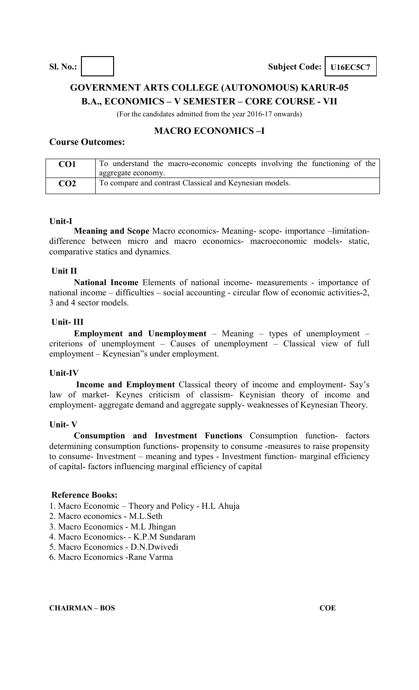# **GOVERNMENT ARTS COLLEGE (AUTONOMOUS) KARUR-05 B.A., ECONOMICS – V SEMESTER – CORE COURSE - VII**

(For the candidates admitted from the year 2016-17 onwards)

### **MACRO ECONOMICS –I Course Outcomes:**

| CO1 | To understand the macro-economic concepts involving the functioning of the |
|-----|----------------------------------------------------------------------------|
|     | aggregate economy.                                                         |
| CO2 | To compare and contrast Classical and Keynesian models.                    |

### **Unit-I**

**Meaning and Scope** Macro economics- Meaning- scope- importance –limitationdifference between micro and macro economics- macroeconomic models- static, comparative statics and dynamics.

### **Unit II**

**National Income** Elements of national income- measurements - importance of national income – difficulties – social accounting - circular flow of economic activities-2, 3 and 4 sector models.

### **Unit- III**

**Employment and Unemployment** – Meaning – types of unemployment – criterions of unemployment – Causes of unemployment – Classical view of full employment – Keynesian"s under employment.

### **Unit-IV**

**Income and Employment** Classical theory of income and employment- Say's law of market- Keynes criticism of classism- Keynisian theory of income and employment- aggregate demand and aggregate supply- weaknesses of Keynesian Theory.

### **Unit- V**

**Consumption and Investment Functions** Consumption function- factors determining consumption functions- propensity to consume -measures to raise propensity to consume- Investment – meaning and types - Investment function- marginal efficiency of capital- factors influencing marginal efficiency of capital

### **Reference Books:**

- 1. Macro Economic Theory and Policy H.L Ahuja
- 2. Macro economics M.L.Seth
- 3. Macro Economics M.L Jhingan
- 4. Macro Economics- K.P.M Sundaram
- 5. Macro Economics D.N.Dwivedi
- 6. Macro Economics -Rane Varma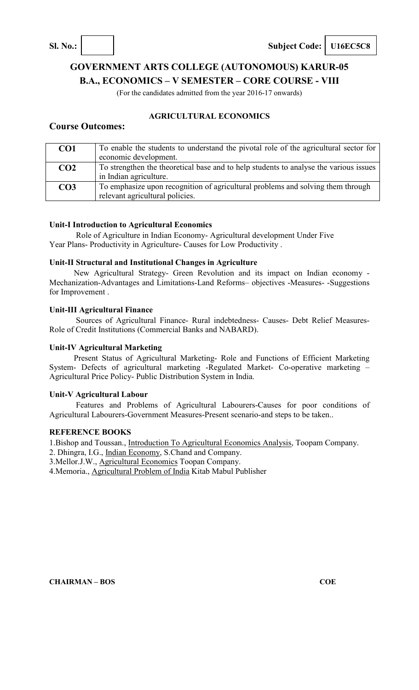**Sl. No.: Subject Code: U16EC5C8** 

# **GOVERNMENT ARTS COLLEGE (AUTONOMOUS) KARUR-05 B.A., ECONOMICS – V SEMESTER – CORE COURSE - VIII**

(For the candidates admitted from the year 2016-17 onwards)

### **AGRICULTURAL ECONOMICS**

### **Course Outcomes:**

| CO <sub>1</sub> | To enable the students to understand the pivotal role of the agricultural sector for<br>economic development.      |
|-----------------|--------------------------------------------------------------------------------------------------------------------|
| CO <sub>2</sub> | To strengthen the theoretical base and to help students to analyse the various issues<br>in Indian agriculture.    |
| CO <sub>3</sub> | To emphasize upon recognition of agricultural problems and solving them through<br>relevant agricultural policies. |

### **Unit-I Introduction to Agricultural Economics**

Role of Agriculture in Indian Economy- Agricultural development Under Five Year Plans- Productivity in Agriculture- Causes for Low Productivity .

### **Unit-II Structural and Institutional Changes in Agriculture**

New Agricultural Strategy- Green Revolution and its impact on Indian economy - Mechanization-Advantages and Limitations-Land Reforms– objectives -Measures- -Suggestions for Improvement .

### **Unit-III Agricultural Finance**

Sources of Agricultural Finance- Rural indebtedness- Causes- Debt Relief Measures-Role of Credit Institutions (Commercial Banks and NABARD).

### **Unit-IV Agricultural Marketing**

Present Status of Agricultural Marketing- Role and Functions of Efficient Marketing System- Defects of agricultural marketing -Regulated Market- Co-operative marketing – Agricultural Price Policy- Public Distribution System in India.

### **Unit-V Agricultural Labour**

Features and Problems of Agricultural Labourers-Causes for poor conditions of Agricultural Labourers-Government Measures-Present scenario-and steps to be taken..

### **REFERENCE BOOKS**

1.Bishop and Toussan., Introduction To Agricultural Economics Analysis, Toopam Company.

2. Dhingra, I.G., Indian Economy, S.Chand and Company.

3.Mellor.J.W., Agricultural Economics Toopan Company.

4.Memoria., Agricultural Problem of India Kitab Mabul Publisher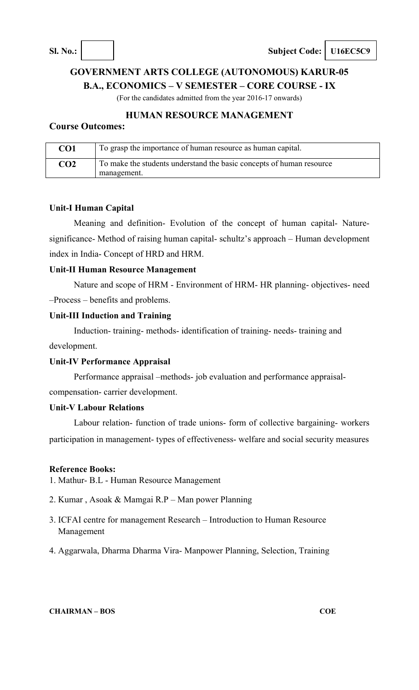# **GOVERNMENT ARTS COLLEGE (AUTONOMOUS) KARUR-05 B.A., ECONOMICS – V SEMESTER – CORE COURSE - IX**

(For the candidates admitted from the year 2016-17 onwards)

### **HUMAN RESOURCE MANAGEMENT**

### **Course Outcomes:**

| CO1             | To grasp the importance of human resource as human capital.                         |
|-----------------|-------------------------------------------------------------------------------------|
| CO <sub>2</sub> | To make the students understand the basic concepts of human resource<br>management. |

### **Unit-I Human Capital**

Meaning and definition- Evolution of the concept of human capital- Naturesignificance- Method of raising human capital- schultz's approach – Human development index in India- Concept of HRD and HRM.

### **Unit-II Human Resource Management**

Nature and scope of HRM - Environment of HRM- HR planning- objectives- need –Process – benefits and problems.

### **Unit-III Induction and Training**

Induction- training- methods- identification of training- needs- training and

development.

### **Unit-IV Performance Appraisal**

Performance appraisal –methods- job evaluation and performance appraisalcompensation- carrier development.

### **Unit-V Labour Relations**

Labour relation- function of trade unions- form of collective bargaining- workers participation in management- types of effectiveness- welfare and social security measures

### **Reference Books:**

1. Mathur- B.L - Human Resource Management

- 2. Kumar , Asoak & Mamgai R.P Man power Planning
- 3. ICFAI centre for management Research Introduction to Human Resource Management
- 4. Aggarwala, Dharma Dharma Vira- Manpower Planning, Selection, Training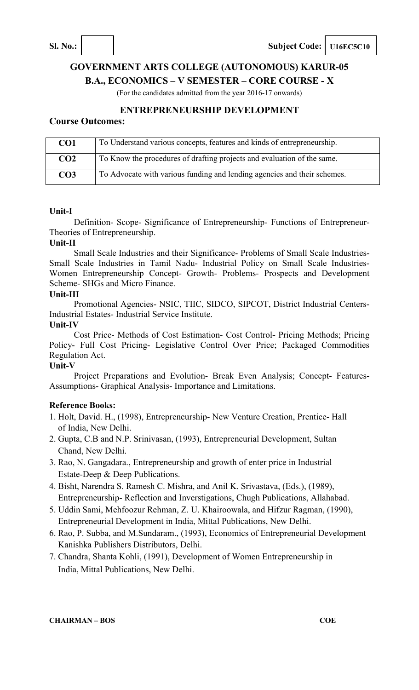**Sl. No.: Subject Code: U16EC5C10** 

# **GOVERNMENT ARTS COLLEGE (AUTONOMOUS) KARUR-05 B.A., ECONOMICS – V SEMESTER – CORE COURSE - X**

(For the candidates admitted from the year 2016-17 onwards)

### **ENTREPRENEURSHIP DEVELOPMENT**

### **Course Outcomes:**

| CO <sub>1</sub> | To Understand various concepts, features and kinds of entrepreneurship.  |
|-----------------|--------------------------------------------------------------------------|
| CO <sub>2</sub> | To Know the procedures of drafting projects and evaluation of the same.  |
| CO <sub>3</sub> | To Advocate with various funding and lending agencies and their schemes. |

### **Unit-I**

Definition- Scope- Significance of Entrepreneurship- Functions of Entrepreneur-Theories of Entrepreneurship.

### **Unit-II**

Small Scale Industries and their Significance- Problems of Small Scale Industries-Small Scale Industries in Tamil Nadu- Industrial Policy on Small Scale Industries-Women Entrepreneurship Concept- Growth- Problems- Prospects and Development Scheme- SHGs and Micro Finance.

### **Unit-III**

Promotional Agencies- NSIC, TIIC, SIDCO, SIPCOT, District Industrial Centers-Industrial Estates- Industrial Service Institute.

### **Unit-IV**

Cost Price- Methods of Cost Estimation- Cost Control**-** Pricing Methods; Pricing Policy- Full Cost Pricing- Legislative Control Over Price; Packaged Commodities Regulation Act.

### **Unit-V**

Project Preparations and Evolution- Break Even Analysis; Concept- Features-Assumptions- Graphical Analysis- Importance and Limitations.

### **Reference Books:**

- 1. Holt, David. H., (1998), Entrepreneurship- New Venture Creation, Prentice- Hall of India, New Delhi.
- 2. Gupta, C.B and N.P. Srinivasan, (1993), Entrepreneurial Development, Sultan Chand, New Delhi.
- 3. Rao, N. Gangadara., Entrepreneurship and growth of enter price in Industrial Estate-Deep & Deep Publications.
- 4. Bisht, Narendra S. Ramesh C. Mishra, and Anil K. Srivastava, (Eds.), (1989), Entrepreneurship- Reflection and Inverstigations, Chugh Publications, Allahabad.
- 5. Uddin Sami, Mehfoozur Rehman, Z. U. Khairoowala, and Hifzur Ragman, (1990), Entrepreneurial Development in India, Mittal Publications, New Delhi.
- 6. Rao, P. Subba, and M.Sundaram., (1993), Economics of Entrepreneurial Development Kanishka Publishers Distributors, Delhi.
- 7. Chandra, Shanta Kohli, (1991), Development of Women Entrepreneurship in India, Mittal Publications, New Delhi.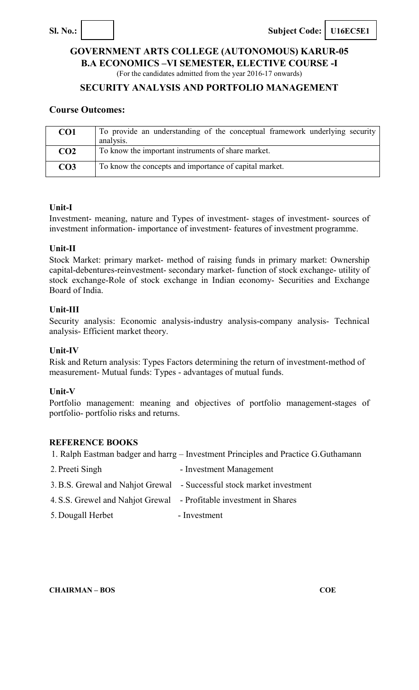

**B.A ECONOMICS –VI SEMESTER, ELECTIVE COURSE -I** 

(For the candidates admitted from the year 2016-17 onwards)

### **SECURITY ANALYSIS AND PORTFOLIO MANAGEMENT**

### **Course Outcomes:**

| CO <sub>1</sub> | To provide an understanding of the conceptual framework underlying security<br>analysis. |
|-----------------|------------------------------------------------------------------------------------------|
| CO <sub>2</sub> | To know the important instruments of share market.                                       |
| CO <sub>3</sub> | To know the concepts and importance of capital market.                                   |

### **Unit-I**

Investment- meaning, nature and Types of investment- stages of investment- sources of investment information- importance of investment- features of investment programme.

### **Unit-II**

Stock Market: primary market- method of raising funds in primary market: Ownership capital-debentures-reinvestment- secondary market- function of stock exchange- utility of stock exchange-Role of stock exchange in Indian economy- Securities and Exchange Board of India.

### **Unit-III**

Security analysis: Economic analysis-industry analysis-company analysis- Technical analysis- Efficient market theory.

### **Unit-IV**

Risk and Return analysis: Types Factors determining the return of investment-method of measurement- Mutual funds: Types - advantages of mutual funds.

### **Unit-V**

Portfolio management: meaning and objectives of portfolio management-stages of portfolio- portfolio risks and returns.

### **REFERENCE BOOKS**

| 1. Ralph Eastman badger and harrg – Investment Principles and Practice G.Guthamann |                                                                       |  |
|------------------------------------------------------------------------------------|-----------------------------------------------------------------------|--|
| 2. Preeti Singh                                                                    | - Investment Management                                               |  |
|                                                                                    | 3. B.S. Grewal and Nahjot Grewal - Successful stock market investment |  |
| 4. S.S. Grewel and Nahjot Grewal - Profitable investment in Shares                 |                                                                       |  |
|                                                                                    |                                                                       |  |

5. Dougall Herbet - Investment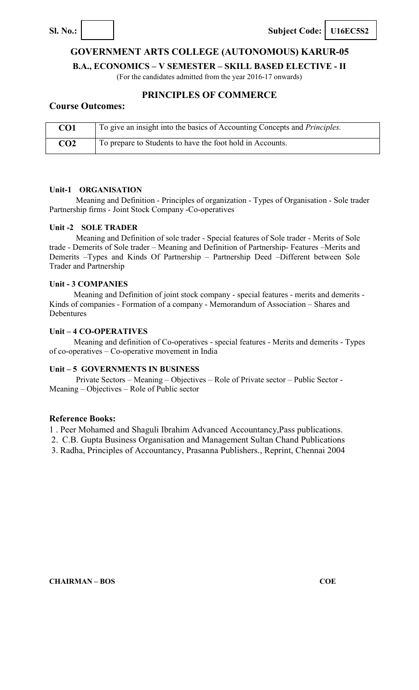

**Sl. No.: Subject Code: U16EC5S2** 

### **GOVERNMENT ARTS COLLEGE (AUTONOMOUS) KARUR-05**

**B.A., ECONOMICS – V SEMESTER – SKILL BASED ELECTIVE - II** 

(For the candidates admitted from the year 2016-17 onwards)

### **PRINCIPLES OF COMMERCE**

### **Course Outcomes:**

| CO1             | To give an insight into the basics of Accounting Concepts and <i>Principles</i> . |
|-----------------|-----------------------------------------------------------------------------------|
| CO <sub>2</sub> | To prepare to Students to have the foot hold in Accounts.                         |

### **Unit-1 ORGANISATION**

Meaning and Definition - Principles of organization - Types of Organisation - Sole trader Partnership firms - Joint Stock Company -Co-operatives

### **Unit -2 SOLE TRADER**

Meaning and Definition of sole trader - Special features of Sole trader - Merits of Sole trade - Demerits of Sole trader – Meaning and Definition of Partnership- Features –Merits and Demerits –Types and Kinds Of Partnership – Partnership Deed –Different between Sole Trader and Partnership

### **Unit - 3 COMPANIES**

Meaning and Definition of joint stock company - special features - merits and demerits - Kinds of companies - Formation of a company - Memorandum of Association – Shares and Debentures

### **Unit – 4 CO-OPERATIVES**

Meaning and definition of Co-operatives - special features - Merits and demerits - Types of co-operatives – Co-operative movement in India

### **Unit – 5 GOVERNMENTS IN BUSINESS**

Private Sectors – Meaning – Objectives – Role of Private sector – Public Sector - Meaning – Objectives – Role of Public sector

### **Reference Books:**

1 . Peer Mohamed and Shaguli Ibrahim Advanced Accountancy,Pass publications.

2. C.B. Gupta Business Organisation and Management Sultan Chand Publications

3. Radha, Principles of Accountancy, Prasanna Publishers., Reprint, Chennai 2004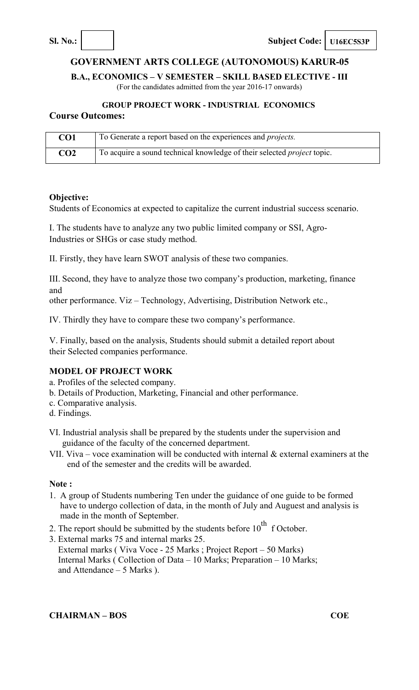**Sl. No.: Subject Code: U16EC5S3P** 

# **GOVERNMENT ARTS COLLEGE (AUTONOMOUS) KARUR-05**

**B.A., ECONOMICS – V SEMESTER – SKILL BASED ELECTIVE - III** 

(For the candidates admitted from the year 2016-17 onwards)

# **GROUP PROJECT WORK - INDUSTRIAL ECONOMICS**

### **Course Outcomes:**

| CO1             | To Generate a report based on the experiences and <i>projects</i> .            |
|-----------------|--------------------------------------------------------------------------------|
| CO <sub>2</sub> | To acquire a sound technical knowledge of their selected <i>project</i> topic. |

### **Objective:**

Students of Economics at expected to capitalize the current industrial success scenario.

I. The students have to analyze any two public limited company or SSI, Agro-Industries or SHGs or case study method.

II. Firstly, they have learn SWOT analysis of these two companies.

III. Second, they have to analyze those two company's production, marketing, finance and

other performance. Viz – Technology, Advertising, Distribution Network etc.,

IV. Thirdly they have to compare these two company's performance.

V. Finally, based on the analysis, Students should submit a detailed report about their Selected companies performance.

### **MODEL OF PROJECT WORK**

- a. Profiles of the selected company.
- b. Details of Production, Marketing, Financial and other performance.
- c. Comparative analysis.
- d. Findings.
- VI. Industrial analysis shall be prepared by the students under the supervision and guidance of the faculty of the concerned department.
- VII. Viva voce examination will be conducted with internal  $\&$  external examiners at the end of the semester and the credits will be awarded.

### **Note :**

- 1. A group of Students numbering Ten under the guidance of one guide to be formed have to undergo collection of data, in the month of July and Auguest and analysis is made in the month of September.
- 2. The report should be submitted by the students before  $10^{th}$  f October.
- 3. External marks 75 and internal marks 25.
- External marks ( Viva Voce 25 Marks ; Project Report 50 Marks) Internal Marks ( Collection of Data – 10 Marks; Preparation – 10 Marks; and Attendance – 5 Marks ).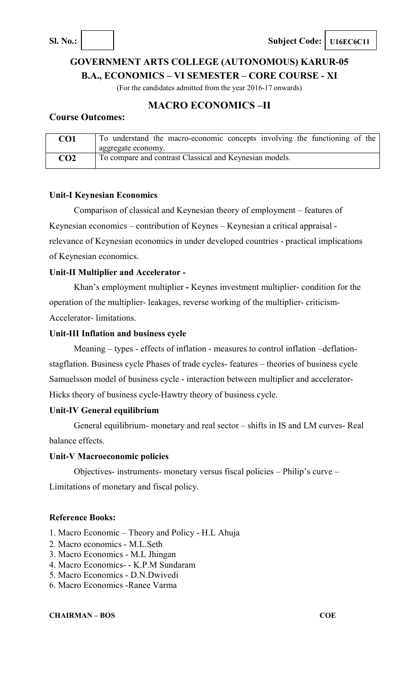**Sl. No.: Subject Code: U16EC6C11** 

# **GOVERNMENT ARTS COLLEGE (AUTONOMOUS) KARUR-05 B.A., ECONOMICS – VI SEMESTER – CORE COURSE - XI**

(For the candidates admitted from the year 2016-17 onwards)

### **MACRO ECONOMICS –II**

### **Course Outcomes:**

| CO1             | To understand the macro-economic concepts involving the functioning of the |
|-----------------|----------------------------------------------------------------------------|
|                 | aggregate economy.                                                         |
| CO <sub>2</sub> | To compare and contrast Classical and Keynesian models.                    |

### **Unit-I Keynesian Economics**

Comparison of classical and Keynesian theory of employment – features of Keynesian economics – contribution of Keynes – Keynesian a critical appraisal relevance of Keynesian economics in under developed countries - practical implications of Keynesian economics.

### **Unit-II Multiplier and Accelerator -**

Khan's employment multiplier **-** Keynes investment multiplier- condition for the operation of the multiplier- leakages, reverse working of the multiplier- criticism-Accelerator- limitations.

### **Unit-III Inflation and business cycle**

Meaning – types - effects of inflation - measures to control inflation –deflationstagflation. Business cycle Phases of trade cycles- features – theories of business cycle Samuelsson model of business cycle - interaction between multiplier and accelerator-Hicks theory of business cycle-Hawtry theory of business cycle.

### **Unit-IV General equilibrium**

General equilibrium- monetary and real sector – shifts in IS and LM curves- Real balance effects.

### **Unit-V Macroeconomic policies**

Objectives- instruments- monetary versus fiscal policies – Philip's curve – Limitations of monetary and fiscal policy.

### **Reference Books:**

- 1. Macro Economic Theory and Policy H.L Ahuja
- 2. Macro economics M.L.Seth
- 3. Macro Economics M.L Jhingan
- 4. Macro Economics- K.P.M Sundaram
- 5. Macro Economics D.N.Dwivedi
- 6. Macro Economics -Ranee Varma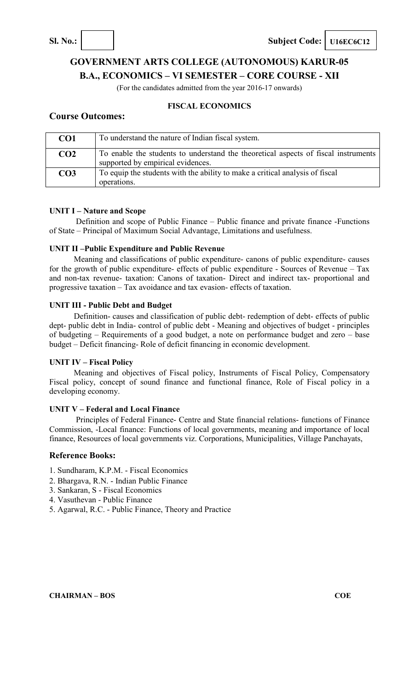**Sl. No.: Subject Code: U16EC6C12** 

# **GOVERNMENT ARTS COLLEGE (AUTONOMOUS) KARUR-05 B.A., ECONOMICS – VI SEMESTER – CORE COURSE - XII**

(For the candidates admitted from the year 2016-17 onwards)

### **FISCAL ECONOMICS**

### **Course Outcomes:**

| CO <sub>1</sub> | To understand the nature of Indian fiscal system.                                                                       |
|-----------------|-------------------------------------------------------------------------------------------------------------------------|
| CO <sub>2</sub> | To enable the students to understand the theoretical aspects of fiscal instruments<br>supported by empirical evidences. |
| CO <sub>3</sub> | To equip the students with the ability to make a critical analysis of fiscal<br>operations.                             |

### **UNIT I – Nature and Scope**

Definition and scope of Public Finance – Public finance and private finance -Functions of State – Principal of Maximum Social Advantage, Limitations and usefulness.

### **UNIT II –Public Expenditure and Public Revenue**

Meaning and classifications of public expenditure- canons of public expenditure- causes for the growth of public expenditure- effects of public expenditure - Sources of Revenue – Tax and non-tax revenue- taxation: Canons of taxation- Direct and indirect tax- proportional and progressive taxation – Tax avoidance and tax evasion- effects of taxation.

### **UNIT III - Public Debt and Budget**

Definition- causes and classification of public debt- redemption of debt- effects of public dept- public debt in India- control of public debt - Meaning and objectives of budget - principles of budgeting – Requirements of a good budget, a note on performance budget and zero – base budget – Deficit financing- Role of deficit financing in economic development.

### **UNIT IV – Fiscal Policy**

Meaning and objectives of Fiscal policy, Instruments of Fiscal Policy, Compensatory Fiscal policy, concept of sound finance and functional finance, Role of Fiscal policy in a developing economy.

### **UNIT V – Federal and Local Finance**

Principles of Federal Finance- Centre and State financial relations- functions of Finance Commission, -Local finance: Functions of local governments, meaning and importance of local finance, Resources of local governments viz. Corporations, Municipalities, Village Panchayats,

### **Reference Books:**

- 1. Sundharam, K.P.M. Fiscal Economics
- 2. Bhargava, R.N. Indian Public Finance
- 3. Sankaran, S Fiscal Economics
- 4. Vasuthevan Public Finance
- 5. Agarwal, R.C. Public Finance, Theory and Practice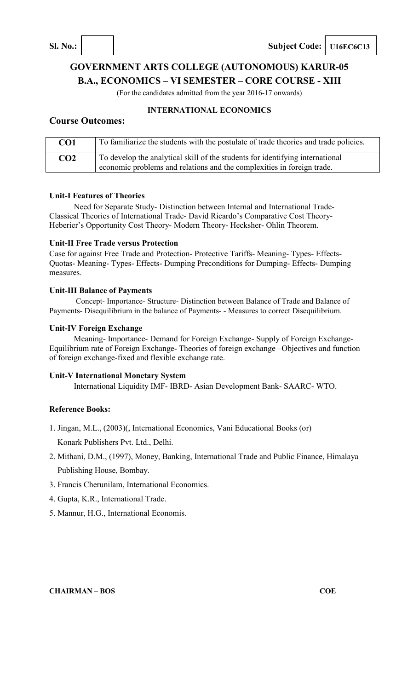**Sl. No.: Subject Code: U16EC6C13** 

# **GOVERNMENT ARTS COLLEGE (AUTONOMOUS) KARUR-05 B.A., ECONOMICS – VI SEMESTER – CORE COURSE - XIII**

(For the candidates admitted from the year 2016-17 onwards)

### **INTERNATIONAL ECONOMICS**

### **Course Outcomes:**

| CO <sub>1</sub> | To familiarize the students with the postulate of trade theories and trade policies. |
|-----------------|--------------------------------------------------------------------------------------|
| CO <sub>2</sub> | To develop the analytical skill of the students for identifying international        |
|                 | economic problems and relations and the complexities in foreign trade.               |

### **Unit-I Features of Theories**

Need for Separate Study- Distinction between Internal and International Trade-Classical Theories of International Trade- David Ricardo's Comparative Cost Theory-Heberier's Opportunity Cost Theory- Modern Theory- Hecksher- Ohlin Theorem.

### **Unit-II Free Trade versus Protection**

Case for against Free Trade and Protection- Protective Tariffs- Meaning- Types- Effects-Quotas- Meaning- Types- Effects- Dumping Preconditions for Dumping- Effects- Dumping measures.

### **Unit-III Balance of Payments**

Concept- Importance- Structure- Distinction between Balance of Trade and Balance of Payments- Disequilibrium in the balance of Payments- - Measures to correct Disequilibrium.

### **Unit-IV Foreign Exchange**

Meaning- Importance- Demand for Foreign Exchange- Supply of Foreign Exchange-Equilibrium rate of Foreign Exchange- Theories of foreign exchange –Objectives and function of foreign exchange-fixed and flexible exchange rate.

### **Unit-V International Monetary System**

International Liquidity IMF- IBRD- Asian Development Bank- SAARC- WTO.

### **Reference Books:**

1. Jingan, M.L., (2003)(, International Economics, Vani Educational Books (or)

Konark Publishers Pvt. Ltd., Delhi.

- 2. Mithani, D.M., (1997), Money, Banking, International Trade and Public Finance, Himalaya Publishing House, Bombay.
- 3. Francis Cherunilam, International Economics.
- 4. Gupta, K.R., International Trade.
- 5. Mannur, H.G., International Economis.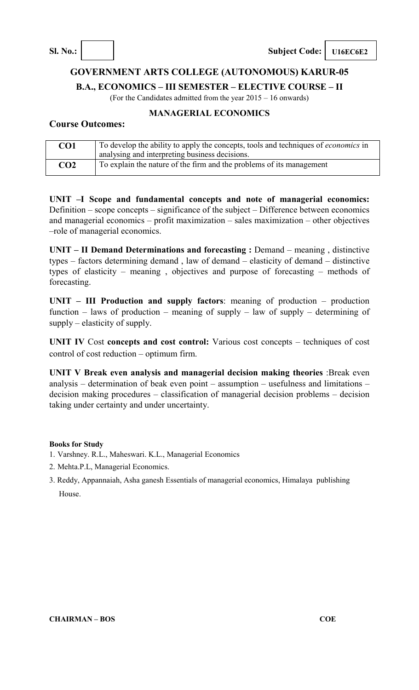### **GOVERNMENT ARTS COLLEGE (AUTONOMOUS) KARUR-05**

**B.A., ECONOMICS – III SEMESTER – ELECTIVE COURSE – II** 

(For the Candidates admitted from the year 2015 – 16 onwards)

### **MANAGERIAL ECONOMICS**

### **Course Outcomes:**

| CO1 | To develop the ability to apply the concepts, tools and techniques of <i>economics</i> in |  |
|-----|-------------------------------------------------------------------------------------------|--|
|     | analysing and interpreting business decisions.                                            |  |
| CO2 | To explain the nature of the firm and the problems of its management                      |  |

**UNIT –I Scope and fundamental concepts and note of managerial economics:**  Definition – scope concepts – significance of the subject – Difference between economics and managerial economics – profit maximization – sales maximization – other objectives –role of managerial economics.

**UNIT – II Demand Determinations and forecasting :** Demand – meaning, distinctive types – factors determining demand , law of demand – elasticity of demand – distinctive types of elasticity – meaning , objectives and purpose of forecasting – methods of forecasting.

**UNIT – III Production and supply factors**: meaning of production – production function – laws of production – meaning of supply – law of supply – determining of supply – elasticity of supply.

**UNIT IV** Cost **concepts and cost control:** Various cost concepts – techniques of cost control of cost reduction – optimum firm.

**UNIT V Break even analysis and managerial decision making theories** :Break even analysis – determination of beak even point – assumption – usefulness and limitations – decision making procedures – classification of managerial decision problems – decision taking under certainty and under uncertainty.

### **Books for Study**

- 1. Varshney. R.L., Maheswari. K.L., Managerial Economics
- 2. Mehta.P.L, Managerial Economics.
- 3. Reddy, Appannaiah, Asha ganesh Essentials of managerial economics, Himalaya publishing House.